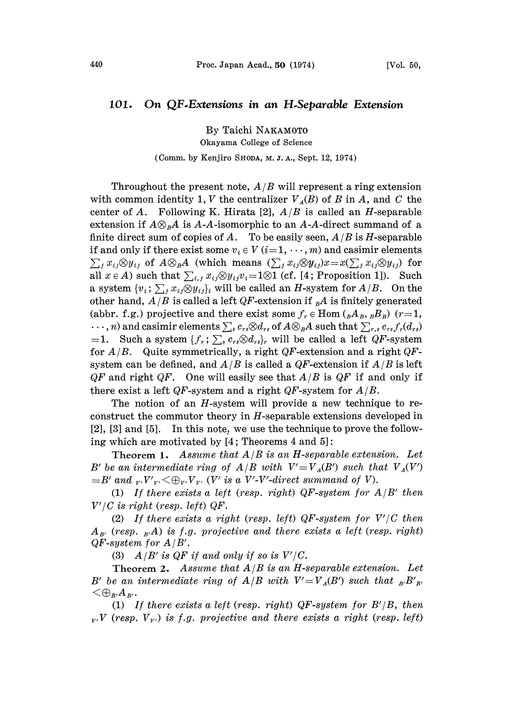## 101. On QF.Extensions in an H.Separable Extension

By Taichi NAKAMOT0

Okayama College of Science

## (Comm. by Kenjiro SHODA, M. J. A., Sept. 12, 1974)

Throughout the present note,  $A/B$  will represent a ring extension with common identity 1, V the centralizer  $V_A(B)$  of B in A, and C the center of A. Following K. Hirata [2],  $A/B$  is called an H-separable extension if  $A\otimes_{B}A$  is A-A-isomorphic to an A-A-direct summand of a finite direct sum of copies of A. To be easily seen,  $A/B$  is H-separable if and only if there exist some  $v_i \in V$   $(i=1,\dots,m)$  and casimir elements  $\sum_j x_{ij} \otimes y_{ij}$  of  $A \otimes_B A$  (which means  $(\sum_j x_{ij} \otimes y_{ij})x = x(\sum_j x_{ij} \otimes y_{ij})$  for all  $x \in A$ ) such that  $\sum_{i,j} x_{ij} \otimes y_{ij} v_i = 1 \otimes 1$  (cf. [4; Proposition 1]). Such a system  $\{v_i; \sum_j x_{ij} \otimes y_{ij}\}\$ i will be called an H-system for  $A/B$ . On the other hand,  $A/B$  is called a left QF-extension if  $_{B}A$  is finitely generated (abbr. f.g.) projective and there exist some  $f_r \in \text{Hom}$  ( $_{B}A_{B}$ ,  $_{B}B_{B}$ ) (r=1,  $\ldots$ , n) and casimir elements  $\sum_s c_{rs}\otimes d_{rs}$  of  $A\otimes_B A$  such that  $\sum_{r,s}c_{rs}f_r(d_{rs})$ =1. Such a system  $\{f_r;\sum_s c_{rs} \otimes d_{rs}\}\)r}$  will be called a left  $QF$ -system for  $A/B$ . Quite symmetrically, a right QF-extension and a right QFsystem can be defined, and  $A/B$  is called a QF-extension if  $A/B$  is left  $QF$  and right  $QF$ . One will easily see that  $A/B$  is  $QF$  if and only if there exist a left QF-system and a right QF-system for  $A/B$ .

The notion of an  $H$ -system will provide a new technique to reconstruct the commutor theory in H-separable extensions developed in  $[2]$ ,  $[3]$  and  $[5]$ . In this note, we use the technique to prove the following which are motivated by  $[4;$  Theorems  $4$  and  $5]$ :

Theorem 1. Assume that  $A/B$  is an H-separable extension. Let B' be an intermediate ring of  $A/B$  with  $V'=V_A(B')$  such that  $V_A(V')$  $B'$  and  $_{V'}V'_{V'}<\bigoplus_{V'}V_{V'}$  (V' is a V'-V'-direct summand of V).

(1) If there exists a left (resp. right) QF-system for  $A/B'$  then  $V'/C$  is right (resp. left) QF.

(2) If there exists a right (resp. left) QF-system for  $V'/C$  then  $A_{B'}$  (resp.  $_{B'}A$ ) is f.g. projective and there exists a left (resp. right)  $QF$ -system for  $A/B'$ .

(3)  $A/B'$  is QF if and only if so is  $V'/C$ .

Theorem 2. Assume that  $A/B$  is an H-separable extension. Let B' be an intermediate ring of  $A/B$  with  $V'=V_A(B')$  such that  ${}_{B'}B'_{B'}$  $\mathbb{Q}_{R'}A_{R'}$ .

(1) If there exists a left (resp. right) QF-system for  $B'/B$ , then  $_{\nu}$ , V (resp.  $V_{\nu}$ ) is f.g. projective and there exists a right (resp. left)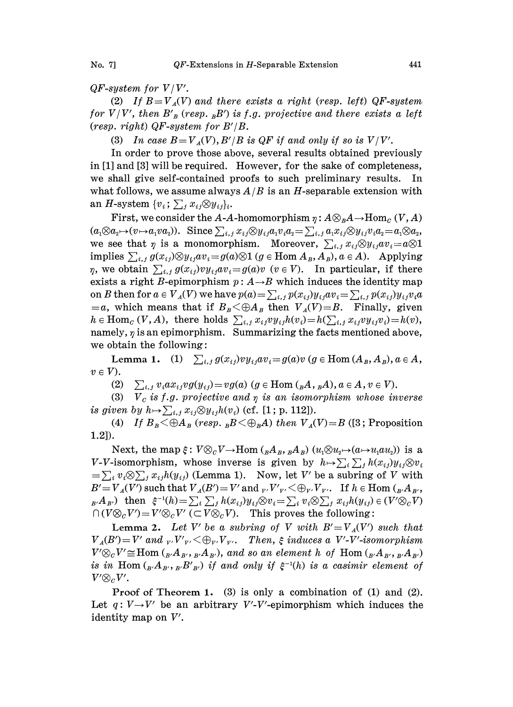$QF$ -system for  $V/V'$ .

(2) If  $B=V_A(V)$  and there exists a right (resp. left) QF-system for  $V/V'$ , then  $B'_{B}$  (resp. <sub>B</sub>B') is f.g. projective and there exists a left (resp. right)  $QF$ -system for  $B'/B$ .

(3) In case  $B=V_A(V), B'/B$  is QF if and only if so is  $V/V'$ .

In order to prove those above, several results obtained previously in [1] and [3] will be required. However, for the sake of completeness, we shall give self-contained proofs to such preliminary results. In what follows, we assume always  $A/B$  is an H-separable extension with an H-system  $\{v_i; \sum_j x_{ij} \otimes y_{ij}\}\$ 

First, we consider the A-A-homomorphism  $\eta : A\otimes_B A \to \text{Hom}_C (V, A)$  $(a_1\otimes a_2\mapsto (v\mapsto a_1va_2))$ . Since  $\sum_{i,j}x_{ij}\otimes y_{ij}a_1v_ia_2=\sum_{i,j}a_1x_{ij}\otimes y_{ij}v_ia_2=a_1\otimes a_2$ we see that  $\eta$  is a monomorphism. Moreover,  $\sum_{i,j} x_{ij} \otimes y_{ij} a v_i = a \otimes 1$ implies  $\sum_{i,j} g(x_{ij}) \otimes y_{ij} a v_i = g(a) \otimes 1$  ( $g \in \text{Hom } A_B, A_B$ ),  $a \in A$ ). Applying  $\eta$ , we obtain  $\sum_{i,j} g(x_{ij}) v y_{ij} a v_i = g(a) v$  ( $v \in V$ ). In particular, if there  $\eta$ , we obtain  $\sum_{i,j} g(x_{ij}) v y_{ij} a v_i = g(a) v$   $(v \in V)$ . In particular, if there exists a right *B*-epimorphism  $p : A \rightarrow B$  which induces the identity map on B then for  $a \in V_A(V)$  we have  $p(a) = \sum_{i,j} p(x_{ij})y_{ij}av_i = \sum_{i,j} p(x_{ij})y_{ij}v_i a$  $a = a$ , which means that if  $B_B < \bigoplus A_B$  then  $V_A(V)=B$ . Finally, given  $h \in \text{Hom}_{\mathcal{C}}(V, A)$ , there holds  $\sum_{i,j} x_{ij}v y_{ij}h(v_i)=h(\sum_{i,j} x_{ij}v y_{ij}v_i)=h(v)$ , namely,  $\eta$  is an epimorphism. Summarizing the facts mentioned above, we obtain the following:

Lemma 1. (1)  $\sum_{i,j} g(x_{ij})v y_{ij} a v_i = g(a)v$  ( $g \in \text{Hom}(A_B, A_B), a \in A$ ,  $v \in V$ ).

(2)  $\sum_{i,j} v_i a x_{ij} v g(y_{ij}) = v g(a)$  ( $g \in \text{Hom } (B_A, B_B, A), a \in A, v \in V$ ).

(3)  $V_c$  is f.g. projective and  $\eta$  is an isomorphism whose inverse is given by  $h \mapsto \sum_{i,j} x_{ij} \otimes y_{ij} h(v_i)$  (cf. [1; p. 112]).

(4) If  $B_B \leq \bigoplus A_B$  (resp.  $_B B \leq \bigoplus_B A$ ) then  $V_A(V)=B$  ([3; Proposition 1.2]).

Next, the map  $\xi$ :<br>-isomorphism, w Next, the map  $\xi: V \otimes_C V \to \text{Hom } ({}_B A_B, {}_B A_B)$   $(u_1 \otimes u_2 \mapsto (a \mapsto u_1 a u_2))$  is a 1.2]).<br>Next, the map  $\xi: V \otimes_C V \to \text{Hom}({}_B A_B, {}_B A_B)$   $(u_1 \otimes u_2 \mapsto (a \mapsto u_1 a u_2))$  is a<br>V-V-isomorphism, whose inverse is given by  $h \mapsto \sum_i \sum_j h(x_{ij}) y_{ij} \otimes v_i$ <br> $= \sum_i v_i \otimes \sum_j x_{ij} h(y_{ij})$  (Lemma 1). Now, let V' be a subring of V w  $=\sum_i v_i \otimes \sum_j x_{ij} h(y_{ij})$  (Lemma 1). Now, let V' be a subring of V with  $B'=V_A(V')$  such that  $V_A(B')=V'$  and  $_{V'}V'_{V'}<\bigoplus_{V'}V_{V'}$ . If  $h\in$  Hom  $({}_{B'}A_{B'}$ ,  $B_{\mathcal{B}'}A_{\mathcal{B}'}$  then  $\xi^{-1}(h)=\sum_i\sum_j h(x_{ij})y_{ij}\otimes v_i=\sum_i v_i\otimes \sum_j x_{ij}h(y_{ij})\in (V'\otimes_C V)$  $\bigcap (V \otimes_{\mathcal{C}} V') = V' \otimes_{\mathcal{C}} V' \subset V \otimes_{\mathcal{C}} V$ . This proves the following:

**Lemma 2.** Let V' be a subring of V with  $B'=V_A(V')$  such that  $V_A(B')=V'$  and  $V_VV_V<\bigoplus_{V'}V_V$ . Then,  $\xi$  induces a V'-V'-isomorphism  $V' \otimes_{\alpha} V' \cong \text{Hom }({}_{R'}A_{R'},R_{R'}A_{R'})$ , and so an element h of  $\text{Hom }({}_{R'}A_{R'},R_{R'}A_{R'})$ is in Hom  $({}_B A_{B'}, {}_B B'_{B'})$  if and only if  $\xi^{-1}(h)$  is a casimir element of  $V' \otimes_{\mathcal{C}} V'.$ 

Proof of Theorem 1. (3) is only a combination of (1) and (2). Let  $q: V \rightarrow V'$  be an arbitrary V'-V'-epimorphism which induces the identity map on V'.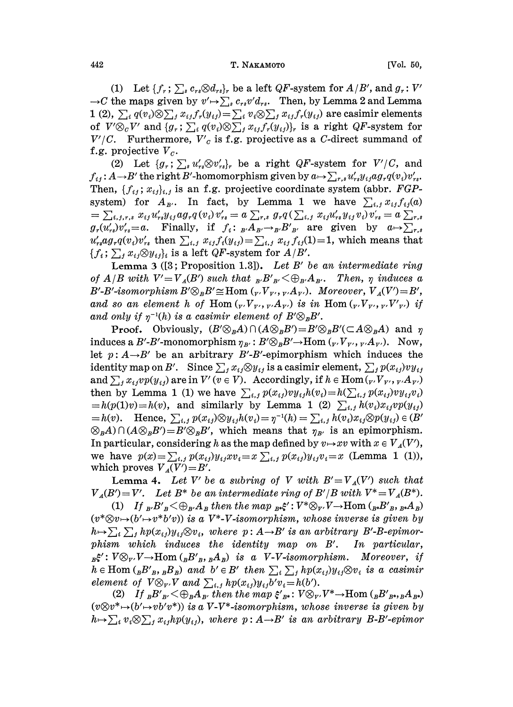## 442 T. NAKAMOTO [Vol. 50,

(1) Let  $\{f_r; \sum_s c_{rs} \otimes d_{rs}\}$  be a left QF-system for  $A/B'$ , and  $g_r: V'$  $\rightarrow C$  the maps given by  $v' \mapsto \sum_s c_{rs} v' d_{rs}$ . Then, by Lemma 2 and Lemma 1 (2),  $\sum_i q(v_i) \otimes \sum_j x_{ij} f_r(y_{ij}) = \sum_i v_i \otimes \sum_j x_{ij} f_r(y_{ij})$  are casimir elements of  $V' \otimes_c V'$  and  $\{g_r; \sum_i q(v_i) \otimes \sum_j x_{ij} f_r(y_{ij})\}_r$  is a right QF-system for  $V'/C$ . Furthermore,  $V'_{c}$  is f.g. projective as a C-direct summand of f.g. projective  $V_c$ .

(2) Let  $\{g_r; \sum_s u'_{rs} \otimes v'_{rs}\}_r$  be a right QF-system for  $V'/C$ , and  $f_{ij}$ :  $A \rightarrow B'$  the right B'-homomorphism given by  $a \mapsto \sum_{r,s} u'_{rs} y_{ij} a g_r q(v_i) v'_{rs}$ . Then,  $\{f_{ij}, x_{ij}\}_{i,j}$  is an f.g. projective coordinate system (abbr. FGPsystem) for  $A_{B'}$ . In fact, by Lemma 1 we have  $\sum_{i,j} x_{ij} f_{ij}(a)$  $\mathcal{I} = \sum_{i,j,r,s} x_{ij} u_{rs}' y_{ij} a g_r q(v_i)v_{rs}' = a \sum_{r,s} g_r q(\sum_{i,j} x_{ij} u_{rs}' y_{ij} v_i)v_{rs}' = a \sum_{r,s} g_r q(r_i) v_{rs}'$  $g_r(u'_{rs})v'_{rs}=a$ . Finally, if  $f_i: B_{B'} \rightarrow B'_{B'}$  are given by  $a \mapsto \sum_{r,s}$  $u'_{rs}ag_r q(v_i)v'_{rs}$  then  $\sum_{i,j} x_{ij} f_i(y_{ij}) = \sum_{i,j} x_{ij} f_{ij}(1) = 1$ , which means that  ${f_i; \sum_i x_i \otimes y_i}_i$  is a left QF-system for  $A/B'$ .

Lemma 3 ([3; Proposition 1.3]). Let B' be an intermediate ring of  $A/B$  with  $V'=V_A(B')$  such that  ${}_B B'_{B'} < \bigoplus_{B'} A_{B'}$ . Then,  $\eta$  induces a B'-B'-isomorphism  $B' \otimes_B B' \cong \text{Hom } (V, V_{V'}, V, A_{V'})$ , Moreover,  $V_A(V') = B'$ , and so an element h of Hom  $({}_{V'}V_{V'}, {_{V'}A}_{V'})$  is in Hom  $({}_{V'}V_{V'}, {_{V'}V'}')$  if and only if  $\eta^{-1}(h)$  is a casimir element of  $B' \otimes_B B'$ .

**Proof.** Obviously,  $(B' \otimes_{B} A) \cap (A \otimes_{B} B') = B' \otimes_{B} B' (\subset A \otimes_{B} A)$  and  $\eta$ induces a B'-B'-monomorphism  $\eta_{B'} : B' \otimes_B B' \to \text{Hom } (V_V, V_{V}, V_A, A_V)$ . Now, let  $p: A \rightarrow B'$  be an arbitrary B'-B'-epimorphism which induces the identity map on B'. Since  $\sum_j x_{ij} \otimes y_{ij}$  is a casimir element,  $\sum_j p(x_{ij})v y_{ij}$ and  $\sum_{i} x_{i} \cdot p(y_{i})$  are in  $V'(v \in V)$ . Accordingly, if  $h \in \text{Hom}_{V}(v, V_{V'}, v, A_{V'})$ then by Lemma 1 (1) we have  $\sum_{i,j} p(x_{ij})v y_{ij}h(v_i)=h(\sum_{i,j} p(x_{ij})v y_{ij}v_i)$  $\begin{aligned} \text{Hence, } \Sigma_{i,j} \text{ is a similarly by Lemma 1 (2) } \Sigma_{i,j} \text{ is a } \mu(v) = h(v), \text{ and similarly by Lemma 1 (2) } \Sigma_{i,j} h(v_i)x_{ij}vp(y_{ij}) = h(v). \end{aligned}$  $= h(v)$ . Hence,  $\sum_{i,j} p(x_{ij}) \otimes y_{ij} h(v_i) = \eta^{-1}(h) = \sum_{i,j} h(v_i) x_{ij} \otimes p(y_{ij}) \in (B' \otimes_B A) \cap (A \otimes_B B') = B' \otimes_B B'$ , which means that  $\eta_{B'}$  is an epimorphism. In particular, considering h as the map defined by  $v \mapsto xv$  with  $x \in V_A(V')$ , we have  $p(x) = \sum_{i,j} p(x_{ij})y_{ij}xv_i = x \sum_{i,j} p(x_{ij})y_{ij}v_i = x$  (Lemma 1 (1)), which proves  $V_A(V')=B'$ .

**Lemma 4.** Let V' be a subring of V with  $B'=V_A(V')$  such that  $V_A(B')=V'.$  Let  $B^*$  be an intermediate ring of  $B'/B$  with  $V^*=V_A(B^*).$ 

(1) If  $_{B'}B'_B \leq \bigoplus_{B'}A_B$  then the map  $_{B*}\xi': V^* \otimes_{V'}V \to \text{Hom }({}_{B*}B'_{B}, {}_{B*}A_B)$  $(v^*{\otimes} v{\mapsto} (b'{\mapsto} v^*b'v))$  is a  $V^*{\text{-}}V{\text{-}} isomorphism,$  whose inverse is given by (1) If  ${}_{B'}B'_B \leq \bigoplus_{B'}A_B$  then the map  ${}_{B'}\xi' : V^* \otimes_{V'}V \to \text{Hom } ({}_{B*}B'_{B},{}_{B*}A_B)$ <br>( $v^* \otimes v \mapsto (b' \mapsto v^*b'v)$ ) is a  $V^* \to V$ -isomorphism, whose inverse is given by<br> $h \mapsto \sum_i \sum_j h p(x_{ij}) y_{ij} \otimes v_i$ , where  $p : A \to B'$  is an phism which induces the identity map on B'. In particular,  ${}_{B} \xi' : V \otimes_{r'} V \rightarrow \text{Hom} ( {}_{B} B'_{B}, {}_{B} A_{B})$  is a V-V-isomorphism. Moreover, if<br>  $h \in \text{Hom} ( {}_{B} B'_{B}, {}_{B} B_{B})$  and  $b' \in B'$  then  $\sum_{i} \sum_{j} h p(x_{ij}) y_{ij} \otimes v_i$  is a casimir<br>
element of  $V \otimes_{r'} V$  and  $\sum_{i,j} h p(x_{ij}) y_{ij} b' v_i = h(b').$  ${}_{B}\xi'$ :  $V\otimes_{V'}V\rightarrow$ Hom  $({}_{B}B'_{B}, {}_{B}A_{B})$  is a V-V-isomorphism. Moreover, if element of  $V \otimes_{V'} V$  and  $\sum_{i,j} h p(x_{ij}) y_{ij} b' v_i = h(b').$ <br>(2) If  $_B B'_{B'} < \bigoplus_B A_{B'}$  then the map  $\xi'_{B^*}: V \otimes_{V'} V^* \to \text{Hom}({}_B B'_{B^*}, {}_B A_{B^*})$ 

 $(v \otimes v^* \rightarrow (b' \rightarrow v b' v^*))$  is a V-V<sup>\*</sup>-isomorphism, whose inverse is given by  $h \mapsto \sum_i v_i \otimes \sum_j x_{ij} h p(y_{ij}),$  where  $p : A \rightarrow B'$  is an arbitrary B-B'-epimor